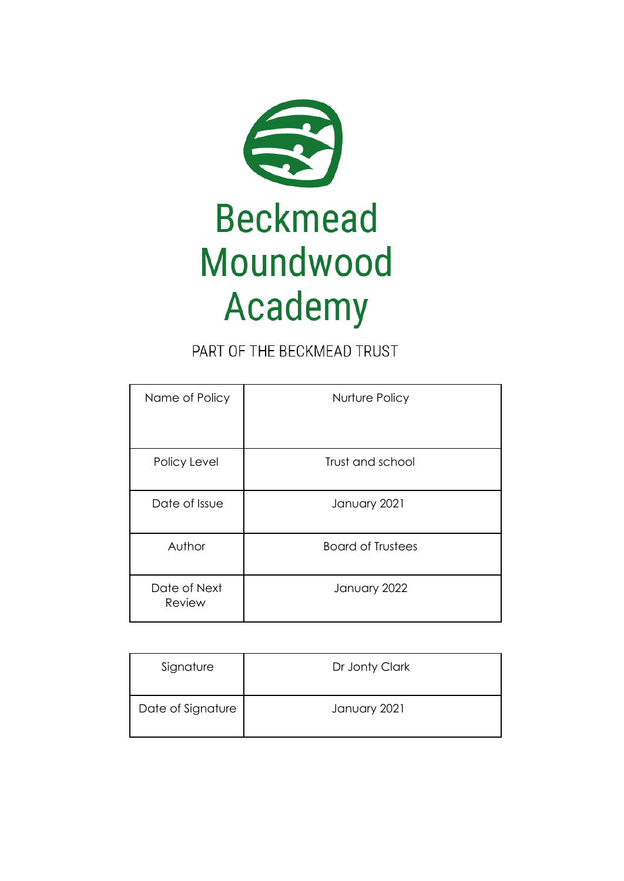

# PART OF THE BECKMEAD TRUST

| Name of Policy         | Nurture Policy           |
|------------------------|--------------------------|
| Policy Level           | Trust and school         |
| Date of Issue          | January 2021             |
| Author                 | <b>Board of Trustees</b> |
| Date of Next<br>Review | January 2022             |

| Signature         | Dr Jonty Clark |
|-------------------|----------------|
| Date of Signature | January 2021   |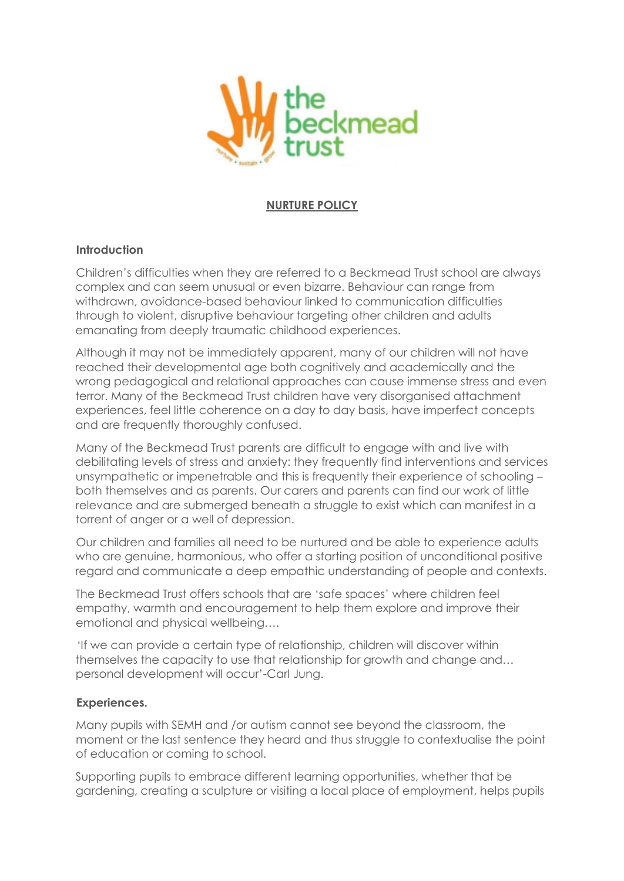

## **NURTURE POLICY**

## **Introduction**

Children's difficulties when they are referred to a Beckmead Trust school are always complex and can seem unusual or even bizarre. Behaviour can range from withdrawn, avoidance-based behaviour linked to communication difficulties through to violent, disruptive behaviour targeting other children and adults emanating from deeply traumatic childhood experiences.

Although it may not be immediately apparent, many of our children will not have reached their developmental age both cognitively and academically and the wrong pedagogical and relational approaches can cause immense stress and even terror. Many of the Beckmead Trust children have very disorganised attachment experiences, feel little coherence on a day to day basis, have imperfect concepts and are frequently thoroughly confused.

Many of the Beckmead Trust parents are difficult to engage with and live with debilitating levels of stress and anxiety: they frequently find interventions and services unsympathetic or impenetrable and this is frequently their experience of schooling – both themselves and as parents. Our carers and parents can find our work of little relevance and are submerged beneath a struggle to exist which can manifest in a torrent of anger or a well of depression.

Our children and families all need to be nurtured and be able to experience adults who are genuine, harmonious, who offer a starting position of unconditional positive regard and communicate a deep empathic understanding of people and contexts.

The Beckmead Trust offers schools that are 'safe spaces' where children feel empathy, warmth and encouragement to help them explore and improve their emotional and physical wellbeing….

'If we can provide a certain type of relationship, children will discover within themselves the capacity to use that relationship for growth and change and… personal development will occur'-Carl Jung.

#### **Experiences.**

Many pupils with SEMH and /or autism cannot see beyond the classroom, the moment or the last sentence they heard and thus struggle to contextualise the point of education or coming to school.

Supporting pupils to embrace different learning opportunities, whether that be gardening, creating a sculpture or visiting a local place of employment, helps pupils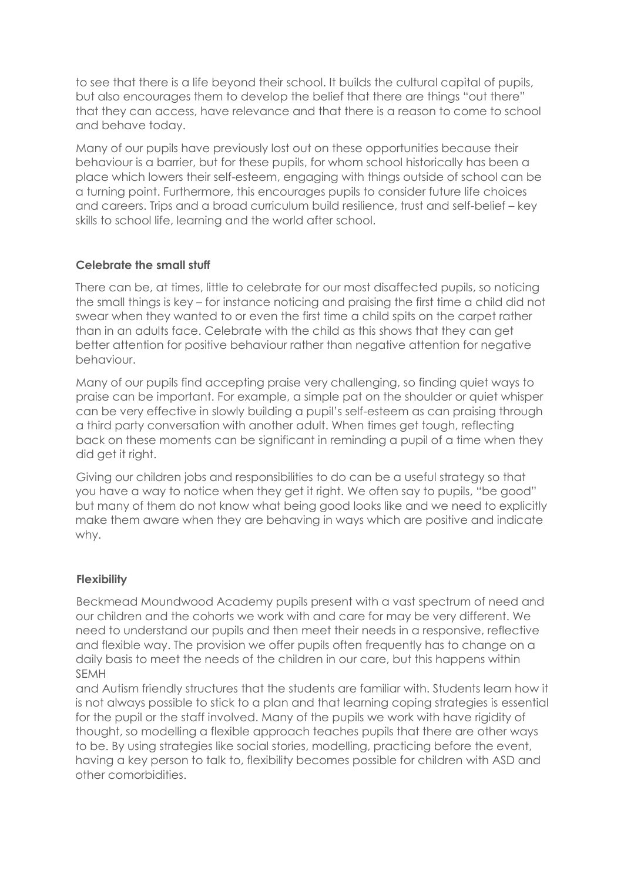to see that there is a life beyond their school. It builds the cultural capital of pupils, but also encourages them to develop the belief that there are things "out there" that they can access, have relevance and that there is a reason to come to school and behave today.

Many of our pupils have previously lost out on these opportunities because their behaviour is a barrier, but for these pupils, for whom school historically has been a place which lowers their self-esteem, engaging with things outside of school can be a turning point. Furthermore, this encourages pupils to consider future life choices and careers. Trips and a broad curriculum build resilience, trust and self-belief – key skills to school life, learning and the world after school.

# **Celebrate the small stuff**

There can be, at times, little to celebrate for our most disaffected pupils, so noticing the small things is key – for instance noticing and praising the first time a child did not swear when they wanted to or even the first time a child spits on the carpet rather than in an adults face. Celebrate with the child as this shows that they can get better attention for positive behaviour rather than negative attention for negative behaviour.

Many of our pupils find accepting praise very challenging, so finding quiet ways to praise can be important. For example, a simple pat on the shoulder or quiet whisper can be very effective in slowly building a pupil's self-esteem as can praising through a third party conversation with another adult. When times get tough, reflecting back on these moments can be significant in reminding a pupil of a time when they did get it right.

Giving our children jobs and responsibilities to do can be a useful strategy so that you have a way to notice when they get it right. We often say to pupils, "be good" but many of them do not know what being good looks like and we need to explicitly make them aware when they are behaving in ways which are positive and indicate why.

# **Flexibility**

Beckmead Moundwood Academy pupils present with a vast spectrum of need and our children and the cohorts we work with and care for may be very different. We need to understand our pupils and then meet their needs in a responsive, reflective and flexible way. The provision we offer pupils often frequently has to change on a daily basis to meet the needs of the children in our care, but this happens within SEMH

and Autism friendly structures that the students are familiar with. Students learn how it is not always possible to stick to a plan and that learning coping strategies is essential for the pupil or the staff involved. Many of the pupils we work with have rigidity of thought, so modelling a flexible approach teaches pupils that there are other ways to be. By using strategies like social stories, modelling, practicing before the event, having a key person to talk to, flexibility becomes possible for children with ASD and other comorbidities.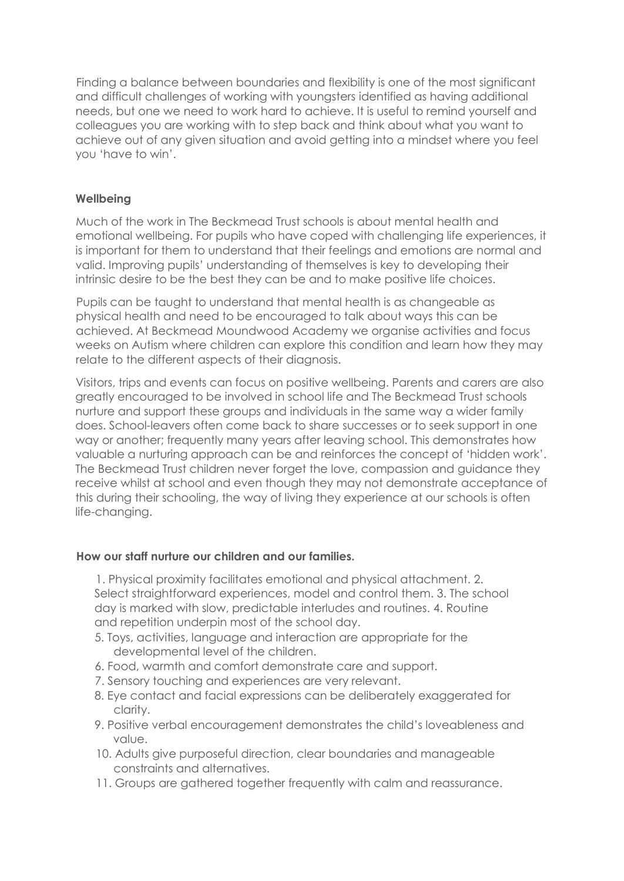Finding a balance between boundaries and flexibility is one of the most significant and difficult challenges of working with youngsters identified as having additional needs, but one we need to work hard to achieve. It is useful to remind yourself and colleagues you are working with to step back and think about what you want to achieve out of any given situation and avoid getting into a mindset where you feel you 'have to win'.

## **Wellbeing**

Much of the work in The Beckmead Trust schools is about mental health and emotional wellbeing. For pupils who have coped with challenging life experiences, it is important for them to understand that their feelings and emotions are normal and valid. Improving pupils' understanding of themselves is key to developing their intrinsic desire to be the best they can be and to make positive life choices.

Pupils can be taught to understand that mental health is as changeable as physical health and need to be encouraged to talk about ways this can be achieved. At Beckmead Moundwood Academy we organise activities and focus weeks on Autism where children can explore this condition and learn how they may relate to the different aspects of their diagnosis.

Visitors, trips and events can focus on positive wellbeing. Parents and carers are also greatly encouraged to be involved in school life and The Beckmead Trust schools nurture and support these groups and individuals in the same way a wider family does. School-leavers often come back to share successes or to seek support in one way or another; frequently many years after leaving school. This demonstrates how valuable a nurturing approach can be and reinforces the concept of 'hidden work'. The Beckmead Trust children never forget the love, compassion and guidance they receive whilst at school and even though they may not demonstrate acceptance of this during their schooling, the way of living they experience at our schools is often life-changing.

## **How our staff nurture our children and our families.**

1. Physical proximity facilitates emotional and physical attachment. 2. Select straightforward experiences, model and control them. 3. The school day is marked with slow, predictable interludes and routines. 4. Routine and repetition underpin most of the school day.

- 5. Toys, activities, language and interaction are appropriate for the developmental level of the children.
- 6. Food, warmth and comfort demonstrate care and support.
- 7. Sensory touching and experiences are very relevant.
- 8. Eye contact and facial expressions can be deliberately exaggerated for clarity.
- 9. Positive verbal encouragement demonstrates the child's loveableness and value.
- 10. Adults give purposeful direction, clear boundaries and manageable constraints and alternatives.
- 11. Groups are gathered together frequently with calm and reassurance.